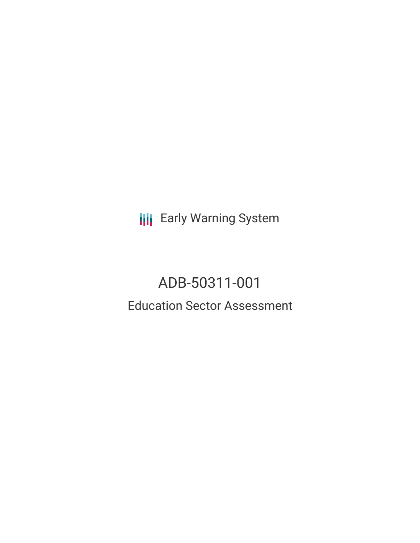**III** Early Warning System

# ADB-50311-001 Education Sector Assessment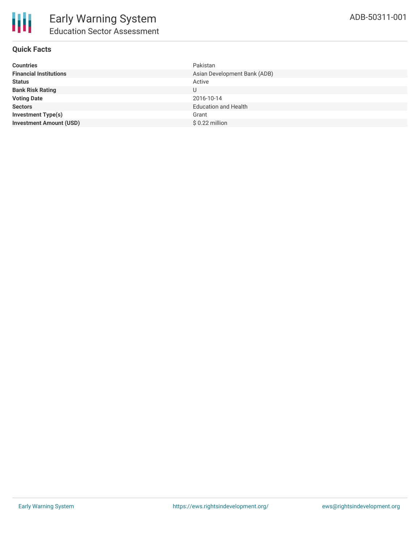

## **Quick Facts**

| <b>Countries</b>               | Pakistan                     |
|--------------------------------|------------------------------|
| <b>Financial Institutions</b>  | Asian Development Bank (ADB) |
| <b>Status</b>                  | Active                       |
| <b>Bank Risk Rating</b>        | U                            |
| <b>Voting Date</b>             | 2016-10-14                   |
| <b>Sectors</b>                 | <b>Education and Health</b>  |
| <b>Investment Type(s)</b>      | Grant                        |
| <b>Investment Amount (USD)</b> | $$0.22$ million              |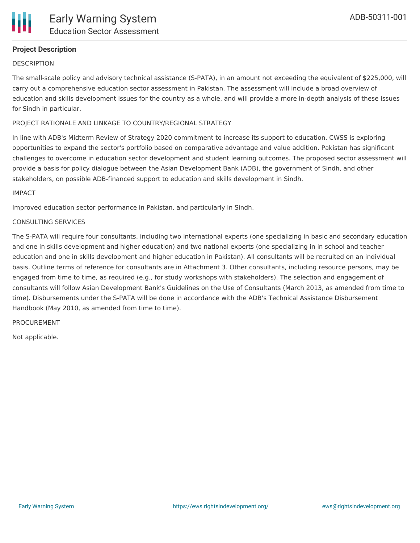

### **Project Description**

#### **DESCRIPTION**

The small-scale policy and advisory technical assistance (S-PATA), in an amount not exceeding the equivalent of \$225,000, will carry out a comprehensive education sector assessment in Pakistan. The assessment will include a broad overview of education and skills development issues for the country as a whole, and will provide a more in-depth analysis of these issues for Sindh in particular.

#### PROJECT RATIONALE AND LINKAGE TO COUNTRY/REGIONAL STRATEGY

In line with ADB's Midterm Review of Strategy 2020 commitment to increase its support to education, CWSS is exploring opportunities to expand the sector's portfolio based on comparative advantage and value addition. Pakistan has significant challenges to overcome in education sector development and student learning outcomes. The proposed sector assessment will provide a basis for policy dialogue between the Asian Development Bank (ADB), the government of Sindh, and other stakeholders, on possible ADB-financed support to education and skills development in Sindh.

IMPACT

Improved education sector performance in Pakistan, and particularly in Sindh.

#### CONSULTING SERVICES

The S-PATA will require four consultants, including two international experts (one specializing in basic and secondary education and one in skills development and higher education) and two national experts (one specializing in in school and teacher education and one in skills development and higher education in Pakistan). All consultants will be recruited on an individual basis. Outline terms of reference for consultants are in Attachment 3. Other consultants, including resource persons, may be engaged from time to time, as required (e.g., for study workshops with stakeholders). The selection and engagement of consultants will follow Asian Development Bank's Guidelines on the Use of Consultants (March 2013, as amended from time to time). Disbursements under the S-PATA will be done in accordance with the ADB's Technical Assistance Disbursement Handbook (May 2010, as amended from time to time).

PROCUREMENT

Not applicable.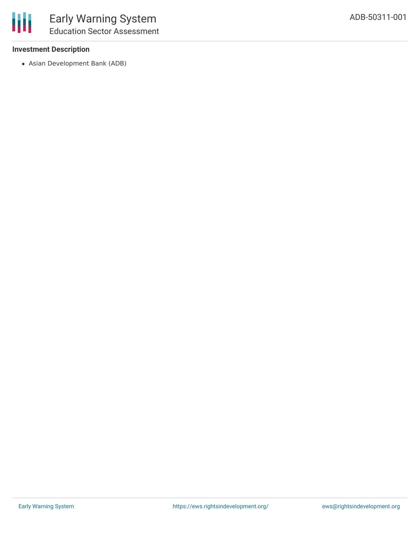## **Investment Description**

Asian Development Bank (ADB)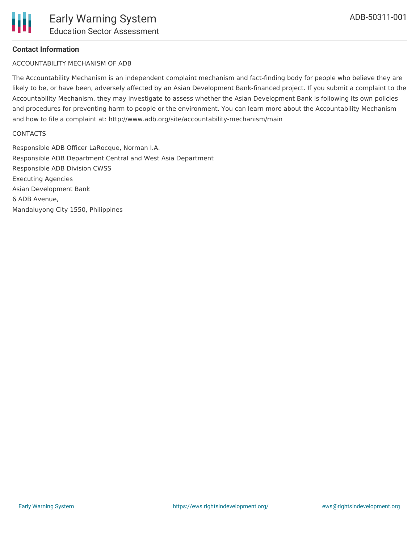## **Contact Information**

## ACCOUNTABILITY MECHANISM OF ADB

The Accountability Mechanism is an independent complaint mechanism and fact-finding body for people who believe they are likely to be, or have been, adversely affected by an Asian Development Bank-financed project. If you submit a complaint to the Accountability Mechanism, they may investigate to assess whether the Asian Development Bank is following its own policies and procedures for preventing harm to people or the environment. You can learn more about the Accountability Mechanism and how to file a complaint at: http://www.adb.org/site/accountability-mechanism/main

#### **CONTACTS**

Responsible ADB Officer LaRocque, Norman I.A. Responsible ADB Department Central and West Asia Department Responsible ADB Division CWSS Executing Agencies Asian Development Bank 6 ADB Avenue, Mandaluyong City 1550, Philippines